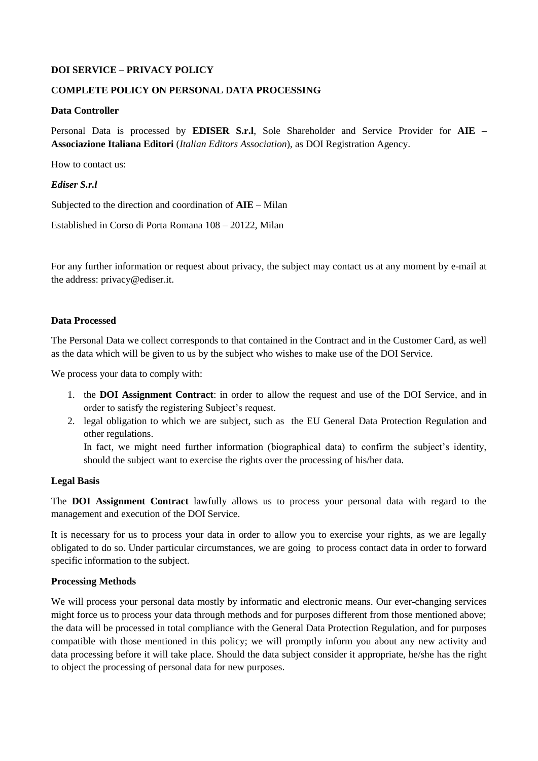## **DOI SERVICE – PRIVACY POLICY**

#### **COMPLETE POLICY ON PERSONAL DATA PROCESSING**

#### **Data Controller**

Personal Data is processed by **EDISER S.r.l**, Sole Shareholder and Service Provider for **AIE – Associazione Italiana Editori** (*Italian Editors Association*), as DOI Registration Agency.

How to contact us:

#### *Ediser S.r.l*

Subjected to the direction and coordination of **AIE** – Milan

Established in Corso di Porta Romana 108 – 20122, Milan

For any further information or request about privacy, the subject may contact us at any moment by e-mail at the address: privacy@ediser.it.

#### **Data Processed**

The Personal Data we collect corresponds to that contained in the Contract and in the Customer Card, as well as the data which will be given to us by the subject who wishes to make use of the DOI Service.

We process your data to comply with:

- 1. the **DOI Assignment Contract**: in order to allow the request and use of the DOI Service, and in order to satisfy the registering Subject's request.
- 2. legal obligation to which we are subject, such as the EU General Data Protection Regulation and other regulations.

In fact, we might need further information (biographical data) to confirm the subject's identity, should the subject want to exercise the rights over the processing of his/her data.

#### **Legal Basis**

The **DOI Assignment Contract** lawfully allows us to process your personal data with regard to the management and execution of the DOI Service.

It is necessary for us to process your data in order to allow you to exercise your rights, as we are legally obligated to do so. Under particular circumstances, we are going to process contact data in order to forward specific information to the subject.

#### **Processing Methods**

We will process your personal data mostly by informatic and electronic means. Our ever-changing services might force us to process your data through methods and for purposes different from those mentioned above; the data will be processed in total compliance with the General Data Protection Regulation, and for purposes compatible with those mentioned in this policy; we will promptly inform you about any new activity and data processing before it will take place. Should the data subject consider it appropriate, he/she has the right to object the processing of personal data for new purposes.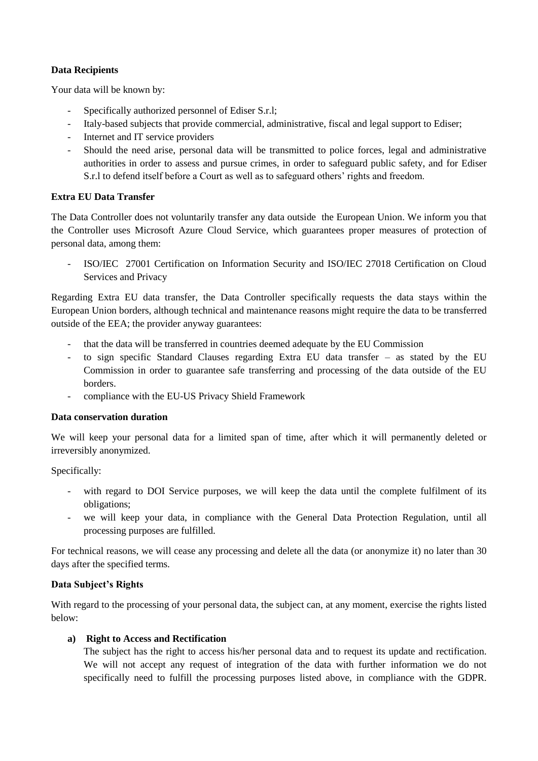## **Data Recipients**

Your data will be known by:

- Specifically authorized personnel of Ediser S.r.l;
- Italy-based subjects that provide commercial, administrative, fiscal and legal support to Ediser;
- Internet and IT service providers
- Should the need arise, personal data will be transmitted to police forces, legal and administrative authorities in order to assess and pursue crimes, in order to safeguard public safety, and for Ediser S.r.l to defend itself before a Court as well as to safeguard others' rights and freedom.

## **Extra EU Data Transfer**

The Data Controller does not voluntarily transfer any data outside the European Union. We inform you that the Controller uses Microsoft Azure Cloud Service, which guarantees proper measures of protection of personal data, among them:

- ISO/IEC 27001 Certification on Information Security and ISO/IEC 27018 Certification on Cloud Services and Privacy

Regarding Extra EU data transfer, the Data Controller specifically requests the data stays within the European Union borders, although technical and maintenance reasons might require the data to be transferred outside of the EEA; the provider anyway guarantees:

- that the data will be transferred in countries deemed adequate by the EU Commission
- to sign specific Standard Clauses regarding Extra EU data transfer as stated by the EU Commission in order to guarantee safe transferring and processing of the data outside of the EU borders.
- compliance with the EU-US Privacy Shield Framework

## **Data conservation duration**

We will keep your personal data for a limited span of time, after which it will permanently deleted or irreversibly anonymized.

## Specifically:

- with regard to DOI Service purposes, we will keep the data until the complete fulfilment of its obligations;
- we will keep your data, in compliance with the General Data Protection Regulation, until all processing purposes are fulfilled.

For technical reasons, we will cease any processing and delete all the data (or anonymize it) no later than 30 days after the specified terms.

## **Data Subject's Rights**

With regard to the processing of your personal data, the subject can, at any moment, exercise the rights listed below:

## **a) Right to Access and Rectification**

The subject has the right to access his/her personal data and to request its update and rectification. We will not accept any request of integration of the data with further information we do not specifically need to fulfill the processing purposes listed above, in compliance with the GDPR.